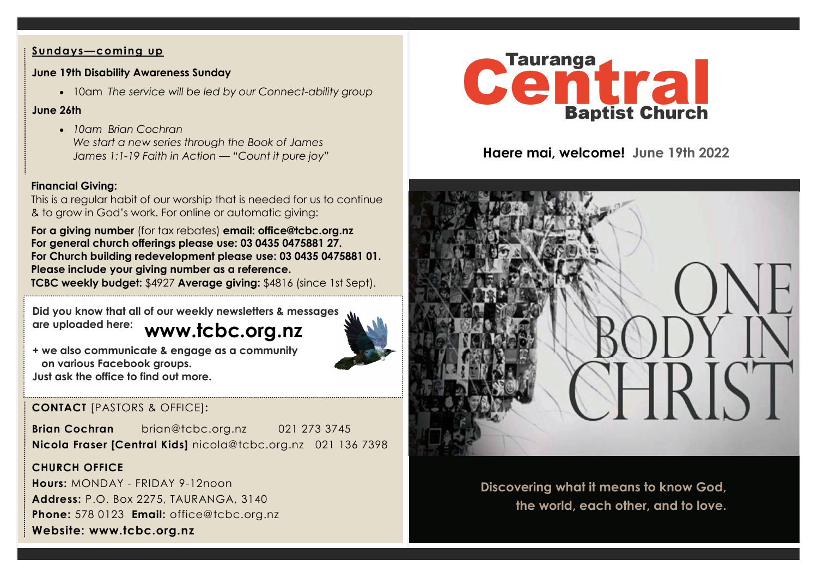#### **Sundays—coming up**

#### **June 19th Disability Awareness Sunday**

• 10am *The service will be led by our Connect-ability group*

### **June 26th**

• *10am Brian Cochran We start a new series through the Book of James James 1:1-19 Faith in Action — "Count it pure joy"*

## **Financial Giving:**

This is a regular habit of our worship that is needed for us to continue & to grow in God's work. For online or automatic giving:

**For a giving number** (for tax rebates) **email: office@tcbc.org.nz For general church offerings please use: 03 0435 0475881 27. For Church building redevelopment please use: 03 0435 0475881 01. Please include your giving number as a reference. TCBC weekly budget:** \$4927 **Average giving:** \$4816 (since 1st Sept).

**www.tcbc.org.nz Did you know that all of our weekly newsletters & messages are uploaded here:** 



**+ we also communicate & engage as a community on various Facebook groups. Just ask the office to find out more.**

## **CONTACT** [PASTORS & OFFICE]**:**

**Brian Cochran** brian@tcbc.org.nz 021 273 3745 **Nicola Fraser [Central Kids]** nicola@tcbc.org.nz021 136 7398

## **CHURCH OFFICE**

**Hours:** MONDAY - FRIDAY 9-12noon **Address:** P.O. Box 2275, TAURANGA, 3140 **Phone:** 578 0123 **Email:** office@tcbc.org.nz **Website: www.tcbc.org.nz**



**Haere mai, welcome! June 19th 2022**



**Discovering what it means to know God, the world, each other, and to love.**